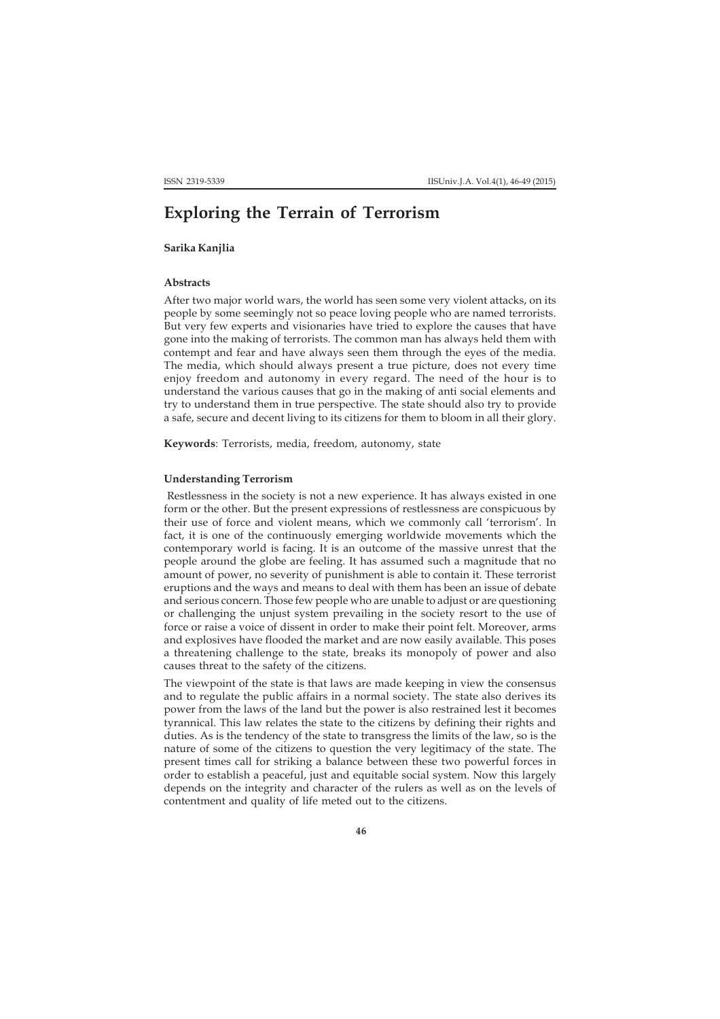# **Exploring the Terrain of Terrorism**

**Sarika Kanjlia**

## **Abstracts**

After two major world wars, the world has seen some very violent attacks, on its people by some seemingly not so peace loving people who are named terrorists. But very few experts and visionaries have tried to explore the causes that have gone into the making of terrorists. The common man has always held them with contempt and fear and have always seen them through the eyes of the media. The media, which should always present a true picture, does not every time enjoy freedom and autonomy in every regard. The need of the hour is to understand the various causes that go in the making of anti social elements and try to understand them in true perspective. The state should also try to provide a safe, secure and decent living to its citizens for them to bloom in all their glory.

**Keywords**: Terrorists, media, freedom, autonomy, state

### **Understanding Terrorism**

 Restlessness in the society is not a new experience. It has always existed in one form or the other. But the present expressions of restlessness are conspicuous by their use of force and violent means, which we commonly call 'terrorism'. In fact, it is one of the continuously emerging worldwide movements which the contemporary world is facing. It is an outcome of the massive unrest that the people around the globe are feeling. It has assumed such a magnitude that no amount of power, no severity of punishment is able to contain it. These terrorist eruptions and the ways and means to deal with them has been an issue of debate and serious concern. Those few people who are unable to adjust or are questioning or challenging the unjust system prevailing in the society resort to the use of force or raise a voice of dissent in order to make their point felt. Moreover, arms and explosives have flooded the market and are now easily available. This poses a threatening challenge to the state, breaks its monopoly of power and also causes threat to the safety of the citizens.

The viewpoint of the state is that laws are made keeping in view the consensus and to regulate the public affairs in a normal society. The state also derives its power from the laws of the land but the power is also restrained lest it becomes tyrannical. This law relates the state to the citizens by defining their rights and duties. As is the tendency of the state to transgress the limits of the law, so is the nature of some of the citizens to question the very legitimacy of the state. The present times call for striking a balance between these two powerful forces in order to establish a peaceful, just and equitable social system. Now this largely depends on the integrity and character of the rulers as well as on the levels of contentment and quality of life meted out to the citizens.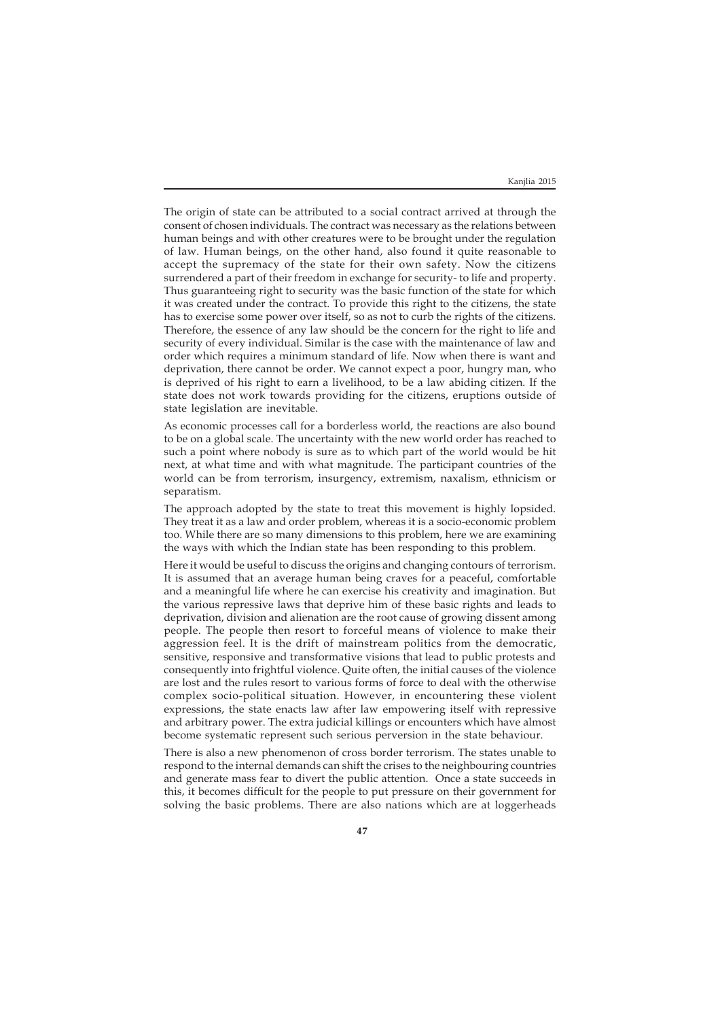The origin of state can be attributed to a social contract arrived at through the consent of chosen individuals. The contract was necessary as the relations between human beings and with other creatures were to be brought under the regulation of law. Human beings, on the other hand, also found it quite reasonable to accept the supremacy of the state for their own safety. Now the citizens surrendered a part of their freedom in exchange for security- to life and property. Thus guaranteeing right to security was the basic function of the state for which it was created under the contract. To provide this right to the citizens, the state has to exercise some power over itself, so as not to curb the rights of the citizens. Therefore, the essence of any law should be the concern for the right to life and security of every individual. Similar is the case with the maintenance of law and order which requires a minimum standard of life. Now when there is want and deprivation, there cannot be order. We cannot expect a poor, hungry man, who is deprived of his right to earn a livelihood, to be a law abiding citizen. If the state does not work towards providing for the citizens, eruptions outside of state legislation are inevitable.

As economic processes call for a borderless world, the reactions are also bound to be on a global scale. The uncertainty with the new world order has reached to such a point where nobody is sure as to which part of the world would be hit next, at what time and with what magnitude. The participant countries of the world can be from terrorism, insurgency, extremism, naxalism, ethnicism or separatism.

The approach adopted by the state to treat this movement is highly lopsided. They treat it as a law and order problem, whereas it is a socio-economic problem too. While there are so many dimensions to this problem, here we are examining the ways with which the Indian state has been responding to this problem.

Here it would be useful to discuss the origins and changing contours of terrorism. It is assumed that an average human being craves for a peaceful, comfortable and a meaningful life where he can exercise his creativity and imagination. But the various repressive laws that deprive him of these basic rights and leads to deprivation, division and alienation are the root cause of growing dissent among people. The people then resort to forceful means of violence to make their aggression feel. It is the drift of mainstream politics from the democratic, sensitive, responsive and transformative visions that lead to public protests and consequently into frightful violence. Quite often, the initial causes of the violence are lost and the rules resort to various forms of force to deal with the otherwise complex socio-political situation. However, in encountering these violent expressions, the state enacts law after law empowering itself with repressive and arbitrary power. The extra judicial killings or encounters which have almost become systematic represent such serious perversion in the state behaviour.

There is also a new phenomenon of cross border terrorism. The states unable to respond to the internal demands can shift the crises to the neighbouring countries and generate mass fear to divert the public attention. Once a state succeeds in this, it becomes difficult for the people to put pressure on their government for solving the basic problems. There are also nations which are at loggerheads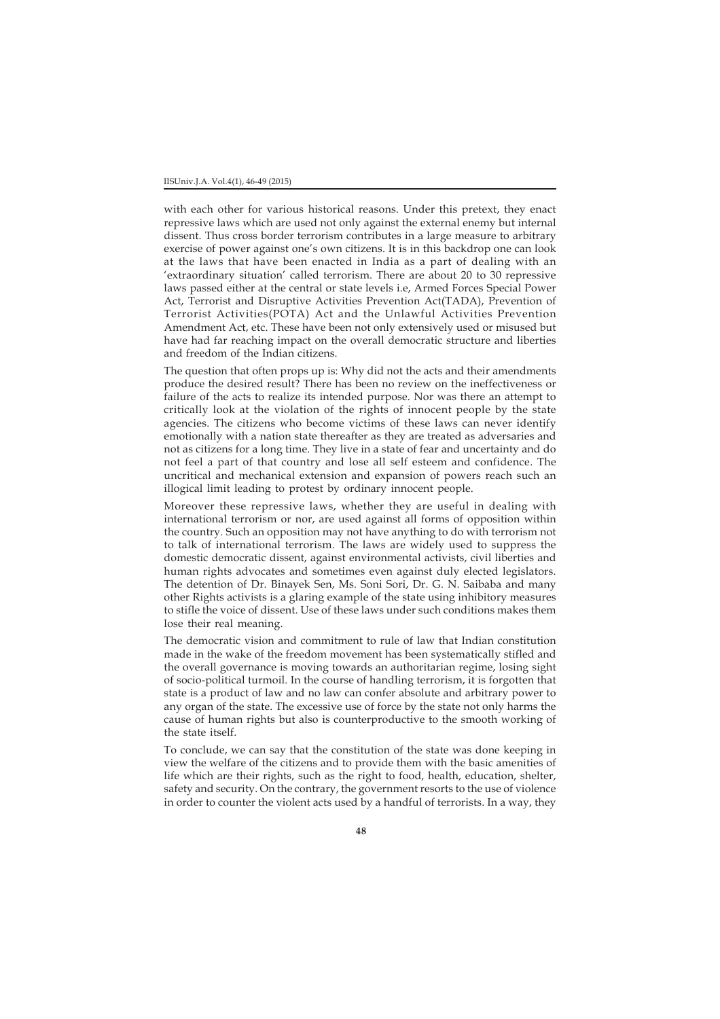#### IISUniv.J.A. Vol.4(1), 46-49 (2015)

with each other for various historical reasons. Under this pretext, they enact repressive laws which are used not only against the external enemy but internal dissent. Thus cross border terrorism contributes in a large measure to arbitrary exercise of power against one's own citizens. It is in this backdrop one can look at the laws that have been enacted in India as a part of dealing with an 'extraordinary situation' called terrorism. There are about 20 to 30 repressive laws passed either at the central or state levels i.e, Armed Forces Special Power Act, Terrorist and Disruptive Activities Prevention Act(TADA), Prevention of Terrorist Activities(POTA) Act and the Unlawful Activities Prevention Amendment Act, etc. These have been not only extensively used or misused but have had far reaching impact on the overall democratic structure and liberties and freedom of the Indian citizens.

The question that often props up is: Why did not the acts and their amendments produce the desired result? There has been no review on the ineffectiveness or failure of the acts to realize its intended purpose. Nor was there an attempt to critically look at the violation of the rights of innocent people by the state agencies. The citizens who become victims of these laws can never identify emotionally with a nation state thereafter as they are treated as adversaries and not as citizens for a long time. They live in a state of fear and uncertainty and do not feel a part of that country and lose all self esteem and confidence. The uncritical and mechanical extension and expansion of powers reach such an illogical limit leading to protest by ordinary innocent people.

Moreover these repressive laws, whether they are useful in dealing with international terrorism or nor, are used against all forms of opposition within the country. Such an opposition may not have anything to do with terrorism not to talk of international terrorism. The laws are widely used to suppress the domestic democratic dissent, against environmental activists, civil liberties and human rights advocates and sometimes even against duly elected legislators. The detention of Dr. Binayek Sen, Ms. Soni Sori, Dr. G. N. Saibaba and many other Rights activists is a glaring example of the state using inhibitory measures to stifle the voice of dissent. Use of these laws under such conditions makes them lose their real meaning.

The democratic vision and commitment to rule of law that Indian constitution made in the wake of the freedom movement has been systematically stifled and the overall governance is moving towards an authoritarian regime, losing sight of socio-political turmoil. In the course of handling terrorism, it is forgotten that state is a product of law and no law can confer absolute and arbitrary power to any organ of the state. The excessive use of force by the state not only harms the cause of human rights but also is counterproductive to the smooth working of the state itself.

To conclude, we can say that the constitution of the state was done keeping in view the welfare of the citizens and to provide them with the basic amenities of life which are their rights, such as the right to food, health, education, shelter, safety and security. On the contrary, the government resorts to the use of violence in order to counter the violent acts used by a handful of terrorists. In a way, they